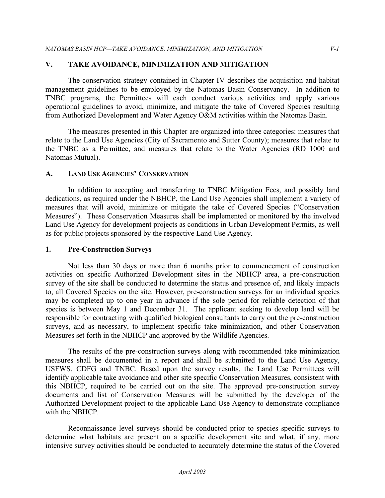### **V. TAKE AVOIDANCE, MINIMIZATION AND MITIGATION**

The conservation strategy contained in Chapter IV describes the acquisition and habitat management guidelines to be employed by the Natomas Basin Conservancy. In addition to TNBC programs, the Permittees will each conduct various activities and apply various operational guidelines to avoid, minimize, and mitigate the take of Covered Species resulting from Authorized Development and Water Agency O&M activities within the Natomas Basin.

The measures presented in this Chapter are organized into three categories: measures that relate to the Land Use Agencies (City of Sacramento and Sutter County); measures that relate to the TNBC as a Permittee, and measures that relate to the Water Agencies (RD 1000 and Natomas Mutual).

#### **A. LAND USE AGENCIES' CONSERVATION**

In addition to accepting and transferring to TNBC Mitigation Fees, and possibly land dedications, as required under the NBHCP, the Land Use Agencies shall implement a variety of measures that will avoid, minimize or mitigate the take of Covered Species ("Conservation Measures"). These Conservation Measures shall be implemented or monitored by the involved Land Use Agency for development projects as conditions in Urban Development Permits, as well as for public projects sponsored by the respective Land Use Agency.

#### **1. Pre-Construction Surveys**

Not less than 30 days or more than 6 months prior to commencement of construction activities on specific Authorized Development sites in the NBHCP area, a pre-construction survey of the site shall be conducted to determine the status and presence of, and likely impacts to, all Covered Species on the site. However, pre-construction surveys for an individual species may be completed up to one year in advance if the sole period for reliable detection of that species is between May 1 and December 31. The applicant seeking to develop land will be responsible for contracting with qualified biological consultants to carry out the pre-construction surveys, and as necessary, to implement specific take minimization, and other Conservation Measures set forth in the NBHCP and approved by the Wildlife Agencies.

The results of the pre-construction surveys along with recommended take minimization measures shall be documented in a report and shall be submitted to the Land Use Agency, USFWS, CDFG and TNBC. Based upon the survey results, the Land Use Permittees will identify applicable take avoidance and other site specific Conservation Measures, consistent with this NBHCP, required to be carried out on the site. The approved pre-construction survey documents and list of Conservation Measures will be submitted by the developer of the Authorized Development project to the applicable Land Use Agency to demonstrate compliance with the NBHCP.

Reconnaissance level surveys should be conducted prior to species specific surveys to determine what habitats are present on a specific development site and what, if any, more intensive survey activities should be conducted to accurately determine the status of the Covered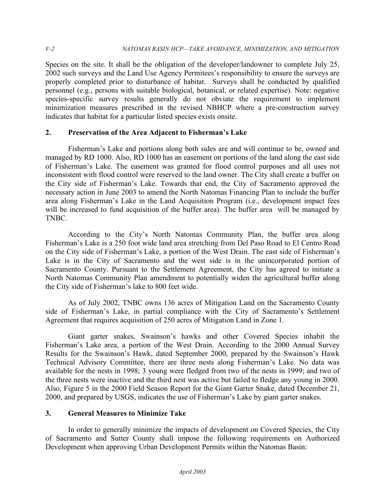Species on the site. It shall be the obligation of the developer/landowner to complete July 25, 2002 such surveys and the Land Use Agency Permitees's responsibility to ensure the surveys are properly completed prior to disturbance of habitat. Surveys shall be conducted by qualified personnel (e.g., persons with suitable biological, botanical, or related expertise). Note: negative species-specific survey results generally do not obviate the requirement to implement minimization measures prescribed in the revised NBHCP where a pre-construction survey indicates that habitat for a particular listed species exists onsite.

## **2. Preservation of the Area Adjacent to Fisherman's Lake**

Fisherman's Lake and portions along both sides are and will continue to be, owned and managed by RD 1000. Also, RD 1000 has an easement on portions of the land along the east side of Fisherman's Lake. The easement was granted for flood control purposes and all uses not inconsistent with flood control were reserved to the land owner. The City shall create a buffer on the City side of Fisherman's Lake. Towards that end, the City of Sacramento approved the necessary action in June 2003 to amend the North Natomas Financing Plan to include the buffer area along Fisherman's Lake in the Land Acquisition Program (i.e., development impact fees will be increased to fund acquisition of the buffer area). The buffer area will be managed by TNBC.

According to the City's North Natomas Community Plan, the buffer area along Fisherman's Lake is a 250 foot wide land area stretching from Del Paso Road to El Centro Road on the City side of Fisherman's Lake, a portion of the West Drain. The east side of Fisherman's Lake is in the City of Sacramento and the west side is in the unincorporated portion of Sacramento County. Pursuant to the Settlement Agreement, the City has agreed to initiate a North Natomas Community Plan amendment to potentially widen the agricultural buffer along the City side of Fisherman's lake to 800 feet wide.

As of July 2002, TNBC owns 136 acres of Mitigation Land on the Sacramento County side of Fisherman's Lake, in partial compliance with the City of Sacramento's Settlement Agreement that requires acquisition of 250 acres of Mitigation Land in Zone 1.

Giant garter snakes, Swainson's hawks and other Covered Species inhabit the Fisherman's Lake area, a portion of the West Drain. According to the 2000 Annual Survey Results for the Swainson's Hawk, dated September 2000, prepared by the Swainson's Hawk Technical Advisory Committee, there are three nests along Fisherman's Lake. No data was available for the nests in 1998; 3 young were fledged from two of the nests in 1999; and two of the three nests were inactive and the third nest was active but failed to fledge any young in 2000. Also, Figure 5 in the 2000 Field Season Report for the Giant Garter Snake, dated December 21, 2000, and prepared by USGS, indicates the use of Fisherman's Lake by giant garter snakes.

## **3. General Measures to Minimize Take**

In order to generally minimize the impacts of development on Covered Species, the City of Sacramento and Sutter County shall impose the following requirements on Authorized Development when approving Urban Development Permits within the Natomas Basin: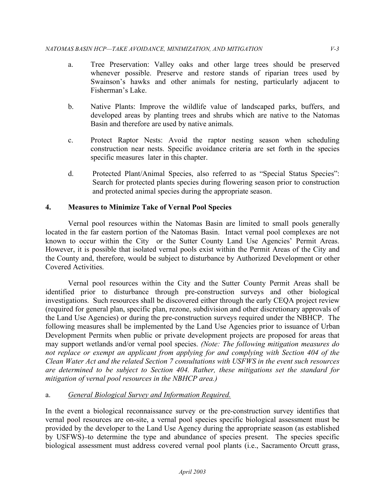- a. Tree Preservation: Valley oaks and other large trees should be preserved whenever possible. Preserve and restore stands of riparian trees used by Swainson's hawks and other animals for nesting, particularly adjacent to Fisherman's Lake.
- b. Native Plants: Improve the wildlife value of landscaped parks, buffers, and developed areas by planting trees and shrubs which are native to the Natomas Basin and therefore are used by native animals.
- c. Protect Raptor Nests: Avoid the raptor nesting season when scheduling construction near nests. Specific avoidance criteria are set forth in the species specific measures later in this chapter.
- d. Protected Plant/Animal Species, also referred to as "Special Status Species": Search for protected plants species during flowering season prior to construction and protected animal species during the appropriate season.

## **4. Measures to Minimize Take of Vernal Pool Species**

Vernal pool resources within the Natomas Basin are limited to small pools generally located in the far eastern portion of the Natomas Basin. Intact vernal pool complexes are not known to occur within the City or the Sutter County Land Use Agencies' Permit Areas. However, it is possible that isolated vernal pools exist within the Permit Areas of the City and the County and, therefore, would be subject to disturbance by Authorized Development or other Covered Activities.

Vernal pool resources within the City and the Sutter County Permit Areas shall be identified prior to disturbance through pre-construction surveys and other biological investigations. Such resources shall be discovered either through the early CEQA project review (required for general plan, specific plan, rezone, subdivision and other discretionary approvals of the Land Use Agencies) or during the pre-construction surveys required under the NBHCP. The following measures shall be implemented by the Land Use Agencies prior to issuance of Urban Development Permits when public or private development projects are proposed for areas that may support wetlands and/or vernal pool species. *(Note: The following mitigation measures do not replace or exempt an applicant from applying for and complying with Section 404 of the Clean Water Act and the related Section 7 consultations with USFWS in the event such resources are determined to be subject to Section 404. Rather, these mitigations set the standard for mitigation of vernal pool resources in the NBHCP area.)* 

## a. *General Biological Survey and Information Required.*

In the event a biological reconnaissance survey or the pre-construction survey identifies that vernal pool resources are on-site, a vernal pool species specific biological assessment must be provided by the developer to the Land Use Agency during the appropriate season (as established by USFWS) to determine the type and abundance of species present. The species specific biological assessment must address covered vernal pool plants (i.e., Sacramento Orcutt grass,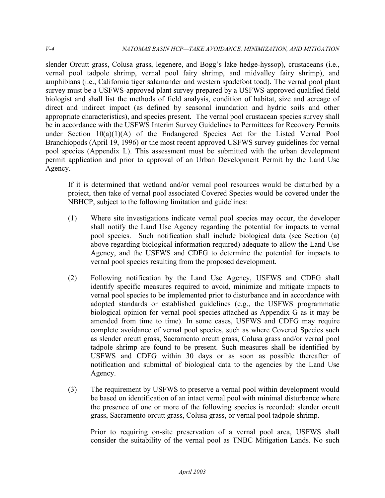slender Orcutt grass, Colusa grass, legenere, and Bogg's lake hedge-hyssop), crustaceans (i.e., vernal pool tadpole shrimp, vernal pool fairy shrimp, and midvalley fairy shrimp), and amphibians (i.e., California tiger salamander and western spadefoot toad). The vernal pool plant survey must be a USFWS-approved plant survey prepared by a USFWS-approved qualified field biologist and shall list the methods of field analysis, condition of habitat, size and acreage of direct and indirect impact (as defined by seasonal inundation and hydric soils and other appropriate characteristics), and species present. The vernal pool crustacean species survey shall be in accordance with the USFWS Interim Survey Guidelines to Permittees for Recovery Permits under Section 10(a)(1)(A) of the Endangered Species Act for the Listed Vernal Pool Branchiopods (April 19, 1996) or the most recent approved USFWS survey guidelines for vernal pool species (Appendix L). This assessment must be submitted with the urban development permit application and prior to approval of an Urban Development Permit by the Land Use Agency.

If it is determined that wetland and/or vernal pool resources would be disturbed by a project, then take of vernal pool associated Covered Species would be covered under the NBHCP, subject to the following limitation and guidelines:

- (1) Where site investigations indicate vernal pool species may occur, the developer shall notify the Land Use Agency regarding the potential for impacts to vernal pool species. Such notification shall include biological data (see Section (a) above regarding biological information required) adequate to allow the Land Use Agency, and the USFWS and CDFG to determine the potential for impacts to vernal pool species resulting from the proposed development.
- (2) Following notification by the Land Use Agency, USFWS and CDFG shall identify specific measures required to avoid, minimize and mitigate impacts to vernal pool species to be implemented prior to disturbance and in accordance with adopted standards or established guidelines (e.g., the USFWS programmatic biological opinion for vernal pool species attached as Appendix G as it may be amended from time to time). In some cases, USFWS and CDFG may require complete avoidance of vernal pool species, such as where Covered Species such as slender orcutt grass, Sacramento orcutt grass, Colusa grass and/or vernal pool tadpole shrimp are found to be present. Such measures shall be identified by USFWS and CDFG within 30 days or as soon as possible thereafter of notification and submittal of biological data to the agencies by the Land Use Agency.
- (3) The requirement by USFWS to preserve a vernal pool within development would be based on identification of an intact vernal pool with minimal disturbance where the presence of one or more of the following species is recorded: slender orcutt grass, Sacramento orcutt grass, Colusa grass, or vernal pool tadpole shrimp.

Prior to requiring on-site preservation of a vernal pool area, USFWS shall consider the suitability of the vernal pool as TNBC Mitigation Lands. No such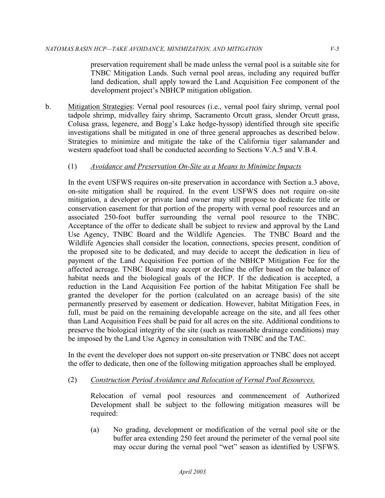preservation requirement shall be made unless the vernal pool is a suitable site for TNBC Mitigation Lands. Such vernal pool areas, including any required buffer land dedication, shall apply toward the Land Acquisition Fee component of the development project's NBHCP mitigation obligation.

b. Mitigation Strategies: Vernal pool resources (i.e., vernal pool fairy shrimp, vernal pool tadpole shrimp, midvalley fairy shrimp, Sacramento Orcutt grass, slender Orcutt grass, Colusa grass, legenere, and Bogg's Lake hedge-hyssop) identified through site specific investigations shall be mitigated in one of three general approaches as described below. Strategies to minimize and mitigate the take of the California tiger salamander and western spadefoot toad shall be conducted according to Sections V.A.5 and V.B.4.

## (1) *Avoidance and Preservation On-Site as a Means to Minimize Impacts*

In the event USFWS requires on-site preservation in accordance with Section a.3 above, on-site mitigation shall be required. In the event USFWS does not require on-site mitigation, a developer or private land owner may still propose to dedicate fee title or conservation easement for that portion of the property with vernal pool resources and an associated 250-foot buffer surrounding the vernal pool resource to the TNBC. Acceptance of the offer to dedicate shall be subject to review and approval by the Land Use Agency, TNBC Board and the Wildlife Agencies. The TNBC Board and the Wildlife Agencies shall consider the location, connections, species present, condition of the proposed site to be dedicated, and may decide to accept the dedication in lieu of payment of the Land Acquisition Fee portion of the NBHCP Mitigation Fee for the affected acreage. TNBC Board may accept or decline the offer based on the balance of habitat needs and the biological goals of the HCP. If the dedication is accepted, a reduction in the Land Acquisition Fee portion of the habitat Mitigation Fee shall be granted the developer for the portion (calculated on an acreage basis) of the site permanently preserved by easement or dedication. However, habitat Mitigation Fees, in full, must be paid on the remaining developable acreage on the site, and all fees other than Land Acquisition Fees shall be paid for all acres on the site. Additional conditions to preserve the biological integrity of the site (such as reasonable drainage conditions) may be imposed by the Land Use Agency in consultation with TNBC and the TAC.

In the event the developer does not support on-site preservation or TNBC does not accept the offer to dedicate, then one of the following mitigation approaches shall be employed.

(2) *Construction Period Avoidance and Relocation of Vernal Pool Resources.* 

Relocation of vernal pool resources and commencement of Authorized Development shall be subject to the following mitigation measures will be required:

(a) No grading, development or modification of the vernal pool site or the buffer area extending 250 feet around the perimeter of the vernal pool site may occur during the vernal pool "wet" season as identified by USFWS.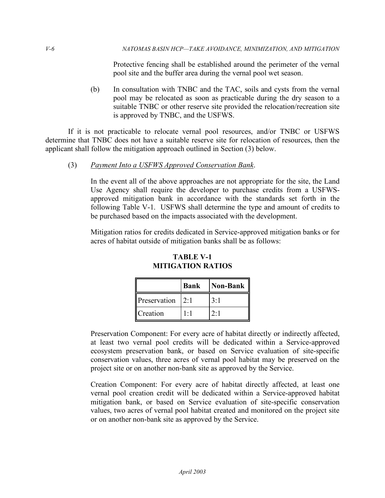Protective fencing shall be established around the perimeter of the vernal pool site and the buffer area during the vernal pool wet season.

(b) In consultation with TNBC and the TAC, soils and cysts from the vernal pool may be relocated as soon as practicable during the dry season to a suitable TNBC or other reserve site provided the relocation/recreation site is approved by TNBC, and the USFWS.

If it is not practicable to relocate vernal pool resources, and/or TNBC or USFWS determine that TNBC does not have a suitable reserve site for relocation of resources, then the applicant shall follow the mitigation approach outlined in Section (3) below.

(3) *Payment Into a USFWS Approved Conservation Bank*.

In the event all of the above approaches are not appropriate for the site, the Land Use Agency shall require the developer to purchase credits from a USFWSapproved mitigation bank in accordance with the standards set forth in the following Table V-1. USFWS shall determine the type and amount of credits to be purchased based on the impacts associated with the development.

Mitigation ratios for credits dedicated in Service-approved mitigation banks or for acres of habitat outside of mitigation banks shall be as follows:

|                 | <b>Bank</b> | Non-Bank |
|-----------------|-------------|----------|
| Preservation    | 2.1         |          |
| <b>Creation</b> |             |          |

**TABLE V-1 MITIGATION RATIOS** 

Preservation Component: For every acre of habitat directly or indirectly affected, at least two vernal pool credits will be dedicated within a Service-approved ecosystem preservation bank, or based on Service evaluation of site-specific conservation values, three acres of vernal pool habitat may be preserved on the project site or on another non-bank site as approved by the Service.

Creation Component: For every acre of habitat directly affected, at least one vernal pool creation credit will be dedicated within a Service-approved habitat mitigation bank, or based on Service evaluation of site-specific conservation values, two acres of vernal pool habitat created and monitored on the project site or on another non-bank site as approved by the Service.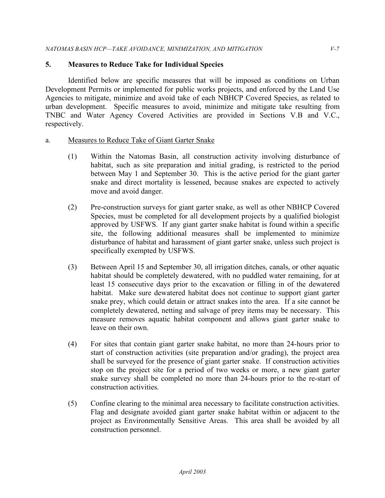## **5. Measures to Reduce Take for Individual Species**

Identified below are specific measures that will be imposed as conditions on Urban Development Permits or implemented for public works projects, and enforced by the Land Use Agencies to mitigate, minimize and avoid take of each NBHCP Covered Species, as related to urban development. Specific measures to avoid, minimize and mitigate take resulting from TNBC and Water Agency Covered Activities are provided in Sections V.B and V.C., respectively.

#### a. Measures to Reduce Take of Giant Garter Snake

- (1) Within the Natomas Basin, all construction activity involving disturbance of habitat, such as site preparation and initial grading, is restricted to the period between May 1 and September 30. This is the active period for the giant garter snake and direct mortality is lessened, because snakes are expected to actively move and avoid danger.
- (2) Pre-construction surveys for giant garter snake, as well as other NBHCP Covered Species, must be completed for all development projects by a qualified biologist approved by USFWS. If any giant garter snake habitat is found within a specific site, the following additional measures shall be implemented to minimize disturbance of habitat and harassment of giant garter snake, unless such project is specifically exempted by USFWS.
- (3) Between April 15 and September 30, all irrigation ditches, canals, or other aquatic habitat should be completely dewatered, with no puddled water remaining, for at least 15 consecutive days prior to the excavation or filling in of the dewatered habitat. Make sure dewatered habitat does not continue to support giant garter snake prey, which could detain or attract snakes into the area. If a site cannot be completely dewatered, netting and salvage of prey items may be necessary. This measure removes aquatic habitat component and allows giant garter snake to leave on their own.
- (4) For sites that contain giant garter snake habitat, no more than 24-hours prior to start of construction activities (site preparation and/or grading), the project area shall be surveyed for the presence of giant garter snake. If construction activities stop on the project site for a period of two weeks or more, a new giant garter snake survey shall be completed no more than 24-hours prior to the re-start of construction activities.
- (5) Confine clearing to the minimal area necessary to facilitate construction activities. Flag and designate avoided giant garter snake habitat within or adjacent to the project as Environmentally Sensitive Areas. This area shall be avoided by all construction personnel.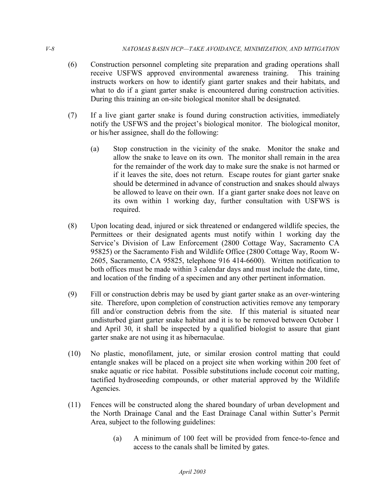- (6) Construction personnel completing site preparation and grading operations shall receive USFWS approved environmental awareness training. This training instructs workers on how to identify giant garter snakes and their habitats, and what to do if a giant garter snake is encountered during construction activities. During this training an on-site biological monitor shall be designated.
- (7) If a live giant garter snake is found during construction activities, immediately notify the USFWS and the project's biological monitor. The biological monitor, or his/her assignee, shall do the following:
	- (a) Stop construction in the vicinity of the snake. Monitor the snake and allow the snake to leave on its own. The monitor shall remain in the area for the remainder of the work day to make sure the snake is not harmed or if it leaves the site, does not return. Escape routes for giant garter snake should be determined in advance of construction and snakes should always be allowed to leave on their own. If a giant garter snake does not leave on its own within 1 working day, further consultation with USFWS is required.
- (8) Upon locating dead, injured or sick threatened or endangered wildlife species, the Permittees or their designated agents must notify within 1 working day the Service's Division of Law Enforcement (2800 Cottage Way, Sacramento CA 95825) or the Sacramento Fish and Wildlife Office (2800 Cottage Way, Room W-2605, Sacramento, CA 95825, telephone 916 414-6600). Written notification to both offices must be made within 3 calendar days and must include the date, time, and location of the finding of a specimen and any other pertinent information.
- (9) Fill or construction debris may be used by giant garter snake as an over-wintering site. Therefore, upon completion of construction activities remove any temporary fill and/or construction debris from the site. If this material is situated near undisturbed giant garter snake habitat and it is to be removed between October 1 and April 30, it shall be inspected by a qualified biologist to assure that giant garter snake are not using it as hibernaculae.
- (10) No plastic, monofilament, jute, or similar erosion control matting that could entangle snakes will be placed on a project site when working within 200 feet of snake aquatic or rice habitat. Possible substitutions include coconut coir matting, tactified hydroseeding compounds, or other material approved by the Wildlife Agencies.
- (11) Fences will be constructed along the shared boundary of urban development and the North Drainage Canal and the East Drainage Canal within Sutter's Permit Area, subject to the following guidelines:
	- (a) A minimum of 100 feet will be provided from fence-to-fence and access to the canals shall be limited by gates.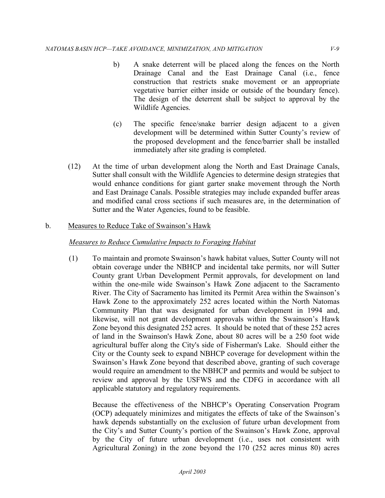- b) A snake deterrent will be placed along the fences on the North Drainage Canal and the East Drainage Canal (i.e., fence construction that restricts snake movement or an appropriate vegetative barrier either inside or outside of the boundary fence). The design of the deterrent shall be subject to approval by the Wildlife Agencies.
- (c) The specific fence/snake barrier design adjacent to a given development will be determined within Sutter County's review of the proposed development and the fence/barrier shall be installed immediately after site grading is completed.
- (12) At the time of urban development along the North and East Drainage Canals, Sutter shall consult with the Wildlife Agencies to determine design strategies that would enhance conditions for giant garter snake movement through the North and East Drainage Canals. Possible strategies may include expanded buffer areas and modified canal cross sections if such measures are, in the determination of Sutter and the Water Agencies, found to be feasible.

## b. Measures to Reduce Take of Swainson's Hawk

## *Measures to Reduce Cumulative Impacts to Foraging Habitat*

(1) To maintain and promote Swainson's hawk habitat values, Sutter County will not obtain coverage under the NBHCP and incidental take permits, nor will Sutter County grant Urban Development Permit approvals, for development on land within the one-mile wide Swainson's Hawk Zone adjacent to the Sacramento River. The City of Sacramento has limited its Permit Area within the Swainson's Hawk Zone to the approximately 252 acres located within the North Natomas Community Plan that was designated for urban development in 1994 and, likewise, will not grant development approvals within the Swainson's Hawk Zone beyond this designated 252 acres. It should be noted that of these 252 acres of land in the Swainson's Hawk Zone, about 80 acres will be a 250 foot wide agricultural buffer along the City's side of Fisherman's Lake. Should either the City or the County seek to expand NBHCP coverage for development within the Swainson's Hawk Zone beyond that described above, granting of such coverage would require an amendment to the NBHCP and permits and would be subject to review and approval by the USFWS and the CDFG in accordance with all applicable statutory and regulatory requirements.

Because the effectiveness of the NBHCP's Operating Conservation Program (OCP) adequately minimizes and mitigates the effects of take of the Swainson's hawk depends substantially on the exclusion of future urban development from the City's and Sutter County's portion of the Swainson's Hawk Zone, approval by the City of future urban development (i.e., uses not consistent with Agricultural Zoning) in the zone beyond the 170 (252 acres minus 80) acres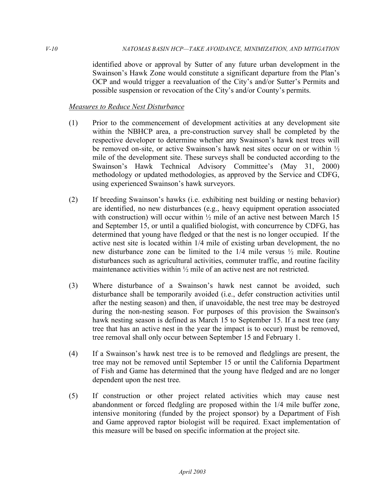identified above or approval by Sutter of any future urban development in the Swainson's Hawk Zone would constitute a significant departure from the Plan's OCP and would trigger a reevaluation of the City's and/or Sutter's Permits and possible suspension or revocation of the City's and/or County's permits.

### *Measures to Reduce Nest Disturbance*

- (1) Prior to the commencement of development activities at any development site within the NBHCP area, a pre-construction survey shall be completed by the respective developer to determine whether any Swainson's hawk nest trees will be removed on-site, or active Swainson's hawk nest sites occur on or within ½ mile of the development site. These surveys shall be conducted according to the Swainson's Hawk Technical Advisory Committee's (May 31, 2000) methodology or updated methodologies, as approved by the Service and CDFG, using experienced Swainson's hawk surveyors.
- (2) If breeding Swainson's hawks (i.e. exhibiting nest building or nesting behavior) are identified, no new disturbances (e.g., heavy equipment operation associated with construction) will occur within  $\frac{1}{2}$  mile of an active nest between March 15 and September 15, or until a qualified biologist, with concurrence by CDFG, has determined that young have fledged or that the nest is no longer occupied. If the active nest site is located within 1/4 mile of existing urban development, the no new disturbance zone can be limited to the 1/4 mile versus ½ mile. Routine disturbances such as agricultural activities, commuter traffic, and routine facility maintenance activities within ½ mile of an active nest are not restricted.
- (3) Where disturbance of a Swainson's hawk nest cannot be avoided, such disturbance shall be temporarily avoided (i.e., defer construction activities until after the nesting season) and then, if unavoidable, the nest tree may be destroyed during the non-nesting season. For purposes of this provision the Swainson's hawk nesting season is defined as March 15 to September 15. If a nest tree (any tree that has an active nest in the year the impact is to occur) must be removed, tree removal shall only occur between September 15 and February 1.
- (4) If a Swainson's hawk nest tree is to be removed and fledglings are present, the tree may not be removed until September 15 or until the California Department of Fish and Game has determined that the young have fledged and are no longer dependent upon the nest tree.
- (5) If construction or other project related activities which may cause nest abandonment or forced fledgling are proposed within the 1/4 mile buffer zone, intensive monitoring (funded by the project sponsor) by a Department of Fish and Game approved raptor biologist will be required. Exact implementation of this measure will be based on specific information at the project site.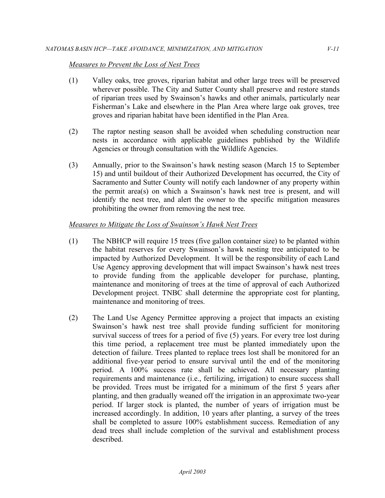#### *Measures to Prevent the Loss of Nest Trees*

- (1) Valley oaks, tree groves, riparian habitat and other large trees will be preserved wherever possible. The City and Sutter County shall preserve and restore stands of riparian trees used by Swainson's hawks and other animals, particularly near Fisherman's Lake and elsewhere in the Plan Area where large oak groves, tree groves and riparian habitat have been identified in the Plan Area.
- (2) The raptor nesting season shall be avoided when scheduling construction near nests in accordance with applicable guidelines published by the Wildlife Agencies or through consultation with the Wildlife Agencies.
- (3) Annually, prior to the Swainson's hawk nesting season (March 15 to September 15) and until buildout of their Authorized Development has occurred, the City of Sacramento and Sutter County will notify each landowner of any property within the permit area(s) on which a Swainson's hawk nest tree is present, and will identify the nest tree, and alert the owner to the specific mitigation measures prohibiting the owner from removing the nest tree.

#### *Measures to Mitigate the Loss of Swainson's Hawk Nest Trees*

- (1) The NBHCP will require 15 trees (five gallon container size) to be planted within the habitat reserves for every Swainson's hawk nesting tree anticipated to be impacted by Authorized Development. It will be the responsibility of each Land Use Agency approving development that will impact Swainson's hawk nest trees to provide funding from the applicable developer for purchase, planting, maintenance and monitoring of trees at the time of approval of each Authorized Development project. TNBC shall determine the appropriate cost for planting, maintenance and monitoring of trees.
- (2) The Land Use Agency Permittee approving a project that impacts an existing Swainson's hawk nest tree shall provide funding sufficient for monitoring survival success of trees for a period of five (5) years. For every tree lost during this time period, a replacement tree must be planted immediately upon the detection of failure. Trees planted to replace trees lost shall be monitored for an additional five-year period to ensure survival until the end of the monitoring period. A 100% success rate shall be achieved. All necessary planting requirements and maintenance (i.e., fertilizing, irrigation) to ensure success shall be provided. Trees must be irrigated for a minimum of the first 5 years after planting, and then gradually weaned off the irrigation in an approximate two-year period. If larger stock is planted, the number of years of irrigation must be increased accordingly. In addition, 10 years after planting, a survey of the trees shall be completed to assure 100% establishment success. Remediation of any dead trees shall include completion of the survival and establishment process described.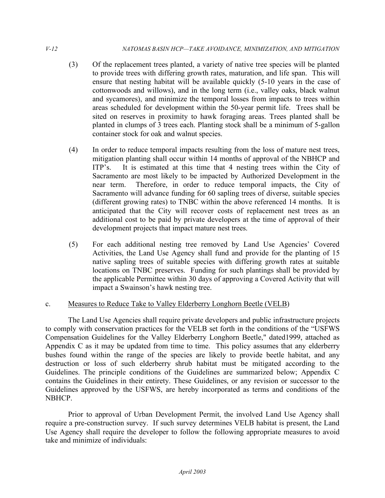- (3) Of the replacement trees planted, a variety of native tree species will be planted to provide trees with differing growth rates, maturation, and life span. This will ensure that nesting habitat will be available quickly (5-10 years in the case of cottonwoods and willows), and in the long term (i.e., valley oaks, black walnut and sycamores), and minimize the temporal losses from impacts to trees within areas scheduled for development within the 50-year permit life. Trees shall be sited on reserves in proximity to hawk foraging areas. Trees planted shall be planted in clumps of 3 trees each. Planting stock shall be a minimum of 5-gallon container stock for oak and walnut species.
- (4) In order to reduce temporal impacts resulting from the loss of mature nest trees, mitigation planting shall occur within 14 months of approval of the NBHCP and ITP's. It is estimated at this time that 4 nesting trees within the City of Sacramento are most likely to be impacted by Authorized Development in the near term. Therefore, in order to reduce temporal impacts, the City of Sacramento will advance funding for 60 sapling trees of diverse, suitable species (different growing rates) to TNBC within the above referenced 14 months. It is anticipated that the City will recover costs of replacement nest trees as an additional cost to be paid by private developers at the time of approval of their development projects that impact mature nest trees.
- (5) For each additional nesting tree removed by Land Use Agencies' Covered Activities, the Land Use Agency shall fund and provide for the planting of 15 native sapling trees of suitable species with differing growth rates at suitable locations on TNBC preserves. Funding for such plantings shall be provided by the applicable Permittee within 30 days of approving a Covered Activity that will impact a Swainson's hawk nesting tree.

## c. Measures to Reduce Take to Valley Elderberry Longhorn Beetle (VELB)

The Land Use Agencies shall require private developers and public infrastructure projects to comply with conservation practices for the VELB set forth in the conditions of the "USFWS Compensation Guidelines for the Valley Elderberry Longhorn Beetle," dated1999, attached as Appendix C as it may be updated from time to time. This policy assumes that any elderberry bushes found within the range of the species are likely to provide beetle habitat, and any destruction or loss of such elderberry shrub habitat must be mitigated according to the Guidelines. The principle conditions of the Guidelines are summarized below; Appendix C contains the Guidelines in their entirety. These Guidelines, or any revision or successor to the Guidelines approved by the USFWS, are hereby incorporated as terms and conditions of the NBHCP.

Prior to approval of Urban Development Permit, the involved Land Use Agency shall require a pre-construction survey. If such survey determines VELB habitat is present, the Land Use Agency shall require the developer to follow the following appropriate measures to avoid take and minimize of individuals: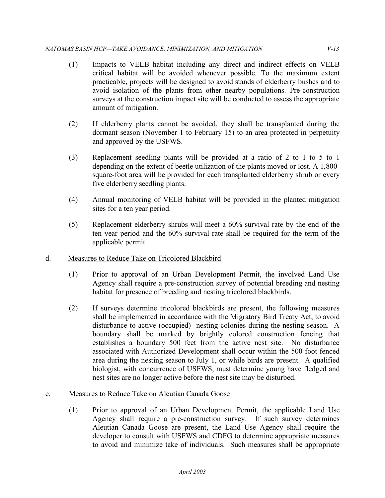- (1) Impacts to VELB habitat including any direct and indirect effects on VELB critical habitat will be avoided whenever possible. To the maximum extent practicable, projects will be designed to avoid stands of elderberry bushes and to avoid isolation of the plants from other nearby populations. Pre-construction surveys at the construction impact site will be conducted to assess the appropriate amount of mitigation.
- (2) If elderberry plants cannot be avoided, they shall be transplanted during the dormant season (November 1 to February 15) to an area protected in perpetuity and approved by the USFWS.
- (3) Replacement seedling plants will be provided at a ratio of 2 to 1 to 5 to 1 depending on the extent of beetle utilization of the plants moved or lost. A 1,800 square-foot area will be provided for each transplanted elderberry shrub or every five elderberry seedling plants.
- (4) Annual monitoring of VELB habitat will be provided in the planted mitigation sites for a ten year period.
- (5) Replacement elderberry shrubs will meet a 60% survival rate by the end of the ten year period and the 60% survival rate shall be required for the term of the applicable permit.
- d. Measures to Reduce Take on Tricolored Blackbird
	- (1) Prior to approval of an Urban Development Permit, the involved Land Use Agency shall require a pre-construction survey of potential breeding and nesting habitat for presence of breeding and nesting tricolored blackbirds.
	- (2) If surveys determine tricolored blackbirds are present, the following measures shall be implemented in accordance with the Migratory Bird Treaty Act, to avoid disturbance to active (occupied) nesting colonies during the nesting season. A boundary shall be marked by brightly colored construction fencing that establishes a boundary 500 feet from the active nest site. No disturbance associated with Authorized Development shall occur within the 500 foot fenced area during the nesting season to July 1, or while birds are present. A qualified biologist, with concurrence of USFWS, must determine young have fledged and nest sites are no longer active before the nest site may be disturbed.

# e. Measures to Reduce Take on Aleutian Canada Goose

 (1) Prior to approval of an Urban Development Permit, the applicable Land Use Agency shall require a pre-construction survey. If such survey determines Aleutian Canada Goose are present, the Land Use Agency shall require the developer to consult with USFWS and CDFG to determine appropriate measures to avoid and minimize take of individuals. Such measures shall be appropriate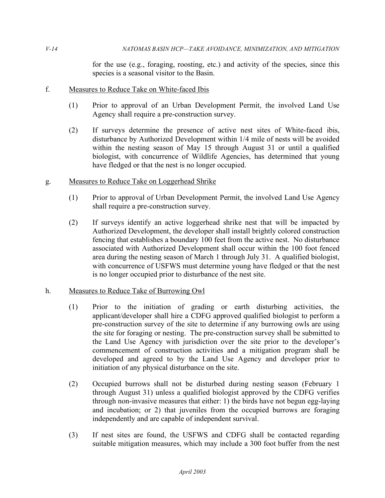for the use (e.g., foraging, roosting, etc.) and activity of the species, since this species is a seasonal visitor to the Basin.

#### f. Measures to Reduce Take on White-faced Ibis

- (1) Prior to approval of an Urban Development Permit, the involved Land Use Agency shall require a pre-construction survey.
- (2) If surveys determine the presence of active nest sites of White-faced ibis, disturbance by Authorized Development within 1/4 mile of nests will be avoided within the nesting season of May 15 through August 31 or until a qualified biologist, with concurrence of Wildlife Agencies, has determined that young have fledged or that the nest is no longer occupied.
- g. Measures to Reduce Take on Loggerhead Shrike
	- (1) Prior to approval of Urban Development Permit, the involved Land Use Agency shall require a pre-construction survey.
	- (2) If surveys identify an active loggerhead shrike nest that will be impacted by Authorized Development, the developer shall install brightly colored construction fencing that establishes a boundary 100 feet from the active nest. No disturbance associated with Authorized Development shall occur within the 100 foot fenced area during the nesting season of March 1 through July 31. A qualified biologist, with concurrence of USFWS must determine young have fledged or that the nest is no longer occupied prior to disturbance of the nest site.

#### h. Measures to Reduce Take of Burrowing Owl

- (1) Prior to the initiation of grading or earth disturbing activities, the applicant/developer shall hire a CDFG approved qualified biologist to perform a pre-construction survey of the site to determine if any burrowing owls are using the site for foraging or nesting. The pre-construction survey shall be submitted to the Land Use Agency with jurisdiction over the site prior to the developer's commencement of construction activities and a mitigation program shall be developed and agreed to by the Land Use Agency and developer prior to initiation of any physical disturbance on the site.
- (2) Occupied burrows shall not be disturbed during nesting season (February 1 through August 31) unless a qualified biologist approved by the CDFG verifies through non-invasive measures that either: 1) the birds have not begun egg-laying and incubation; or 2) that juveniles from the occupied burrows are foraging independently and are capable of independent survival.
- (3) If nest sites are found, the USFWS and CDFG shall be contacted regarding suitable mitigation measures, which may include a 300 foot buffer from the nest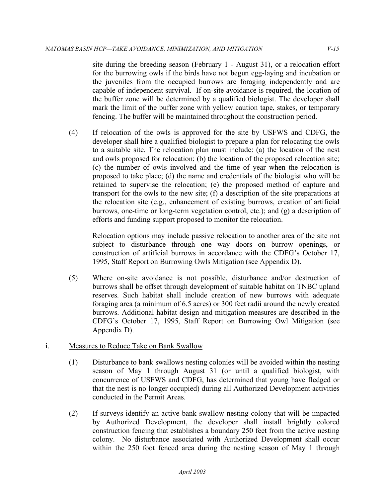site during the breeding season (February 1 - August 31), or a relocation effort for the burrowing owls if the birds have not begun egg-laying and incubation or the juveniles from the occupied burrows are foraging independently and are capable of independent survival. If on-site avoidance is required, the location of the buffer zone will be determined by a qualified biologist. The developer shall mark the limit of the buffer zone with yellow caution tape, stakes, or temporary fencing. The buffer will be maintained throughout the construction period.

 (4) If relocation of the owls is approved for the site by USFWS and CDFG, the developer shall hire a qualified biologist to prepare a plan for relocating the owls to a suitable site. The relocation plan must include: (a) the location of the nest and owls proposed for relocation; (b) the location of the proposed relocation site; (c) the number of owls involved and the time of year when the relocation is proposed to take place; (d) the name and credentials of the biologist who will be retained to supervise the relocation; (e) the proposed method of capture and transport for the owls to the new site; (f) a description of the site preparations at the relocation site (e.g., enhancement of existing burrows, creation of artificial burrows, one-time or long-term vegetation control, etc.); and (g) a description of efforts and funding support proposed to monitor the relocation.

 Relocation options may include passive relocation to another area of the site not subject to disturbance through one way doors on burrow openings, or construction of artificial burrows in accordance with the CDFG's October 17, 1995, Staff Report on Burrowing Owls Mitigation (see Appendix D).

- (5) Where on-site avoidance is not possible, disturbance and/or destruction of burrows shall be offset through development of suitable habitat on TNBC upland reserves. Such habitat shall include creation of new burrows with adequate foraging area (a minimum of 6.5 acres) or 300 feet radii around the newly created burrows. Additional habitat design and mitigation measures are described in the CDFG's October 17, 1995, Staff Report on Burrowing Owl Mitigation (see Appendix D).
- i. Measures to Reduce Take on Bank Swallow
	- (1) Disturbance to bank swallows nesting colonies will be avoided within the nesting season of May 1 through August 31 (or until a qualified biologist, with concurrence of USFWS and CDFG, has determined that young have fledged or that the nest is no longer occupied) during all Authorized Development activities conducted in the Permit Areas.
	- (2) If surveys identify an active bank swallow nesting colony that will be impacted by Authorized Development, the developer shall install brightly colored construction fencing that establishes a boundary 250 feet from the active nesting colony. No disturbance associated with Authorized Development shall occur within the 250 foot fenced area during the nesting season of May 1 through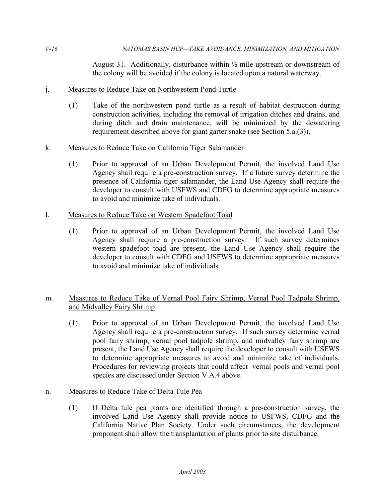August 31. Additionally, disturbance within  $\frac{1}{2}$  mile upstream or downstream of the colony will be avoided if the colony is located upon a natural waterway.

## j. Measures to Reduce Take on Northwestern Pond Turtle

 (1) Take of the northwestern pond turtle as a result of habitat destruction during construction activities, including the removal of irrigation ditches and drains, and during ditch and drain maintenance, will be minimized by the dewatering requirement described above for giant garter snake (see Section 5.a.(3)).

## k. Measures to Reduce Take on California Tiger Salamander

 (1) Prior to approval of an Urban Development Permit, the involved Land Use Agency shall require a pre-construction survey. If a future survey determine the presence of California tiger salamander, the Land Use Agency shall require the developer to consult with USFWS and CDFG to determine appropriate measures to avoid and minimize take of individuals.

## 1. Measures to Reduce Take on Western Spadefoot Toad

 (1) Prior to approval of an Urban Development Permit, the involved Land Use Agency shall require a pre-construction survey. If such survey determines western spadefoot toad are present, the Land Use Agency shall require the developer to consult with CDFG and USFWS to determine appropriate measures to avoid and minimize take of individuals.

## m. Measures to Reduce Take of Vernal Pool Fairy Shrimp, Vernal Pool Tadpole Shrimp, and Midvalley Fairy Shrimp

 (1) Prior to approval of an Urban Development Permit, the involved Land Use Agency shall require a pre-construction survey. If such survey determine vernal pool fairy shrimp, vernal pool tadpole shrimp, and midvalley fairy shrimp are present, the Land Use Agency shall require the developer to consult with USFWS to determine appropriate measures to avoid and minimize take of individuals. Procedures for reviewing projects that could affect vernal pools and vernal pool species are discussed under Section V.A.4 above.

## n. Measures to Reduce Take of Delta Tule Pea

 (1) If Delta tule pea plants are identified through a pre-construction survey, the involved Land Use Agency shall provide notice to USFWS, CDFG and the California Native Plan Society. Under such circumstances, the development proponent shall allow the transplantation of plants prior to site disturbance.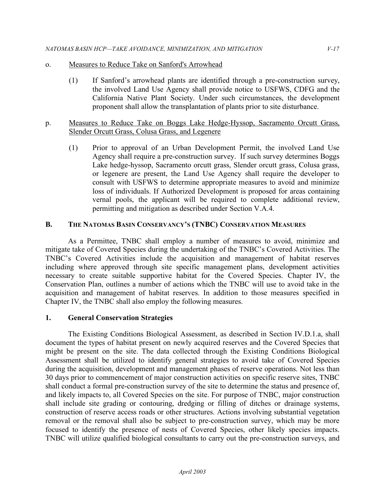#### o. Measures to Reduce Take on Sanford's Arrowhead

 (1) If Sanford's arrowhead plants are identified through a pre-construction survey, the involved Land Use Agency shall provide notice to USFWS, CDFG and the California Native Plant Society. Under such circumstances, the development proponent shall allow the transplantation of plants prior to site disturbance.

### p. Measures to Reduce Take on Boggs Lake Hedge-Hyssop, Sacramento Orcutt Grass, Slender Orcutt Grass, Colusa Grass, and Legenere

 (1) Prior to approval of an Urban Development Permit, the involved Land Use Agency shall require a pre-construction survey. If such survey determines Boggs Lake hedge-hyssop, Sacramento orcutt grass, Slender orcutt grass, Colusa grass, or legenere are present, the Land Use Agency shall require the developer to consult with USFWS to determine appropriate measures to avoid and minimize loss of individuals. If Authorized Development is proposed for areas containing vernal pools, the applicant will be required to complete additional review, permitting and mitigation as described under Section V.A.4.

## **B. THE NATOMAS BASIN CONSERVANCY'S (TNBC) CONSERVATION MEASURES**

 As a Permittee, TNBC shall employ a number of measures to avoid, minimize and mitigate take of Covered Species during the undertaking of the TNBC's Covered Activities. The TNBC's Covered Activities include the acquisition and management of habitat reserves including where approved through site specific management plans, development activities necessary to create suitable supportive habitat for the Covered Species. Chapter IV, the Conservation Plan, outlines a number of actions which the TNBC will use to avoid take in the acquisition and management of habitat reserves. In addition to those measures specified in Chapter IV, the TNBC shall also employ the following measures.

#### **1. General Conservation Strategies**

 The Existing Conditions Biological Assessment, as described in Section IV.D.1.a, shall document the types of habitat present on newly acquired reserves and the Covered Species that might be present on the site. The data collected through the Existing Conditions Biological Assessment shall be utilized to identify general strategies to avoid take of Covered Species during the acquisition, development and management phases of reserve operations. Not less than 30 days prior to commencement of major construction activities on specific reserve sites, TNBC shall conduct a formal pre-construction survey of the site to determine the status and presence of, and likely impacts to, all Covered Species on the site. For purpose of TNBC, major construction shall include site grading or contouring, dredging or filling of ditches or drainage systems, construction of reserve access roads or other structures. Actions involving substantial vegetation removal or the removal shall also be subject to pre-construction survey, which may be more focused to identify the presence of nests of Covered Species, other likely species impacts. TNBC will utilize qualified biological consultants to carry out the pre-construction surveys, and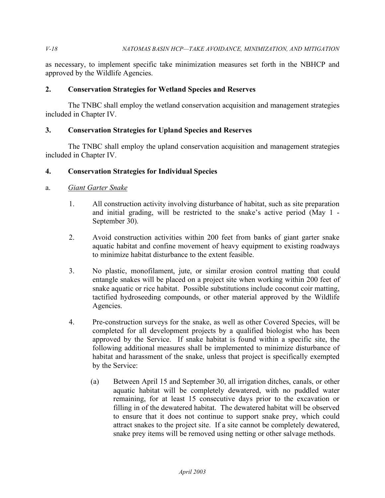as necessary, to implement specific take minimization measures set forth in the NBHCP and approved by the Wildlife Agencies.

### **2. Conservation Strategies for Wetland Species and Reserves**

 The TNBC shall employ the wetland conservation acquisition and management strategies included in Chapter IV.

## **3. Conservation Strategies for Upland Species and Reserves**

 The TNBC shall employ the upland conservation acquisition and management strategies included in Chapter IV.

## **4. Conservation Strategies for Individual Species**

## a. *Giant Garter Snake*

- 1. All construction activity involving disturbance of habitat, such as site preparation and initial grading, will be restricted to the snake's active period (May 1 - September 30).
- 2. Avoid construction activities within 200 feet from banks of giant garter snake aquatic habitat and confine movement of heavy equipment to existing roadways to minimize habitat disturbance to the extent feasible.
- 3. No plastic, monofilament, jute, or similar erosion control matting that could entangle snakes will be placed on a project site when working within 200 feet of snake aquatic or rice habitat. Possible substitutions include coconut coir matting, tactified hydroseeding compounds, or other material approved by the Wildlife Agencies.
- Agencies.<br>4. Pre-construction surveys for the snake, as well as other Covered Species, will be completed for all development projects by a qualified biologist who has been approved by the Service. If snake habitat is found within a specific site, the following additional measures shall be implemented to minimize disturbance of habitat and harassment of the snake, unless that project is specifically exempted by the Service:
	- (a) Between April 15 and September 30, all irrigation ditches, canals, or other aquatic habitat will be completely dewatered, with no puddled water remaining, for at least 15 consecutive days prior to the excavation or filling in of the dewatered habitat. The dewatered habitat will be observed to ensure that it does not continue to support snake prey, which could attract snakes to the project site. If a site cannot be completely dewatered, snake prey items will be removed using netting or other salvage methods.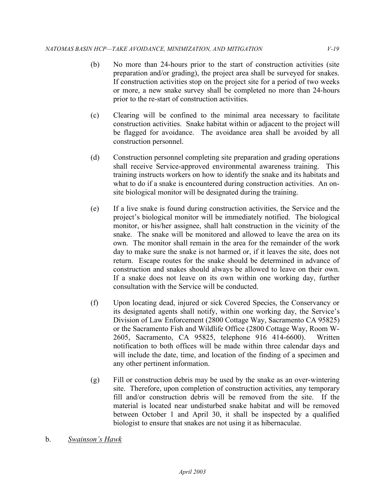- (b) No more than 24-hours prior to the start of construction activities (site preparation and/or grading), the project area shall be surveyed for snakes. If construction activities stop on the project site for a period of two weeks or more, a new snake survey shall be completed no more than 24-hours prior to the re-start of construction activities.
- (c) Clearing will be confined to the minimal area necessary to facilitate construction activities. Snake habitat within or adjacent to the project will be flagged for avoidance. The avoidance area shall be avoided by all construction personnel.
- shall receive Service-approved environmental awareness training. This training instructs workers on how to identify the snake and its habitats and what to do if a snake is encountered during construction activities. An on- site biological monitor will be designated during the training. (d) Construction personnel completing site preparation and grading operations
- (e) If a live snake is found during construction activities, the Service and the project's biological monitor will be immediately notified. The biological monitor, or his/her assignee, shall halt construction in the vicinity of the snake. The snake will be monitored and allowed to leave the area on its own. The monitor shall remain in the area for the remainder of the work day to make sure the snake is not harmed or, if it leaves the site, does not return. Escape routes for the snake should be determined in advance of construction and snakes should always be allowed to leave on their own. If a snake does not leave on its own within one working day, further consultation with the Service will be conducted.
- (f) Upon locating dead, injured or sick Covered Species, the Conservancy or its designated agents shall notify, within one working day, the Service's Division of Law Enforcement (2800 Cottage Way, Sacramento CA 95825) or the Sacramento Fish and Wildlife Office (2800 Cottage Way, Room W- 2605, Sacramento, CA 95825, telephone 916 414-6600). Written notification to both offices will be made within three calendar days and will include the date, time, and location of the finding of a specimen and any other pertinent information.
- (g) Fill or construction debris may be used by the snake as an over-wintering site. Therefore, upon completion of construction activities, any temporary fill and/or construction debris will be removed from the site. If the material is located near undisturbed snake habitat and will be removed between October 1 and April 30, it shall be inspected by a qualified biologist to ensure that snakes are not using it as hibernaculae.
- b. *Swainson's Hawk*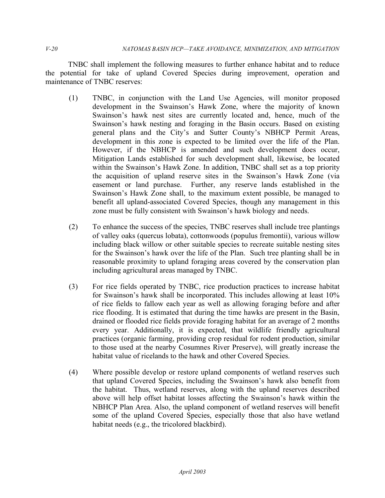TNBC shall implement the following measures to further enhance habitat and to reduce the potential for take of upland Covered Species during improvement, operation and maintenance of TNBC reserves:

- (1) TNBC, in conjunction with the Land Use Agencies, will monitor proposed development in the Swainson's Hawk Zone, where the majority of known Swainson's hawk nest sites are currently located and, hence, much of the general plans and the City's and Sutter County's NBHCP Permit Areas, development in this zone is expected to be limited over the life of the Plan. However, if the NBHCP is amended and such development does occur, Mitigation Lands established for such development shall, likewise, be located within the Swainson's Hawk Zone. In addition, TNBC shall set as a top priority the acquisition of upland reserve sites in the Swainson's Hawk Zone (via easement or land purchase. Further, any reserve lands established in the Swainson's Hawk Zone shall, to the maximum extent possible, be managed to benefit all upland-associated Covered Species, though any management in this zone must be fully consistent with Swainson's hawk biology and needs. Swainson's hawk nesting and foraging in the Basin occurs. Based on existing
- (2) To enhance the success of the species, TNBC reserves shall include tree plantings of valley oaks (quercus lobata), cottonwoods (populus fremontii), various willow including black willow or other suitable species to recreate suitable nesting sites for the Swainson's hawk over the life of the Plan. Such tree planting shall be in including agricultural areas managed by TNBC. reasonable proximity to upland foraging areas covered by the conservation plan
- (3) For rice fields operated by TNBC, rice production practices to increase habitat for Swainson's hawk shall be incorporated. This includes allowing at least 10% of rice fields to fallow each year as well as allowing foraging before and after rice flooding. It is estimated that during the time hawks are present in the Basin, drained or flooded rice fields provide foraging habitat for an average of 2 months every year. Additionally, it is expected, that wildlife friendly agricultural practices (organic farming, providing crop residual for rodent production, similar to those used at the nearby Cosumnes River Preserve), will greatly increase the habitat value of ricelands to the hawk and other Covered Species.
- (4) Where possible develop or restore upland components of wetland reserves such that upland Covered Species, including the Swainson's hawk also benefit from the habitat. Thus, wetland reserves, along with the upland reserves described above will help offset habitat losses affecting the Swainson's hawk within the NBHCP Plan Area. Also, the upland component of wetland reserves will benefit some of the upland Covered Species, especially those that also have wetland habitat needs (e.g., the tricolored blackbird).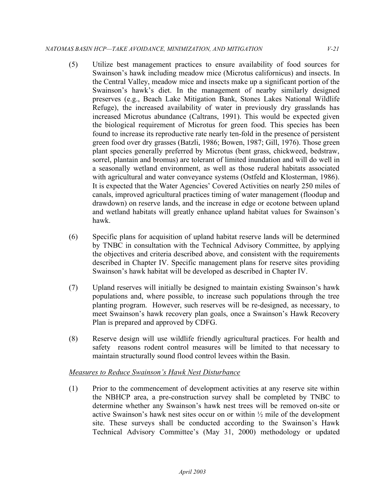- (5) Utilize best management practices to ensure availability of food sources for Swainson's hawk including meadow mice (Microtus californicus) and insects. In the Central Valley, meadow mice and insects make up a significant portion of the Swainson's hawk's diet. In the management of nearby similarly designed preserves (e.g., Beach Lake Mitigation Bank, Stones Lakes National Wildlife Refuge), the increased availability of water in previously dry grasslands has increased Microtus abundance (Caltrans, 1991). This would be expected given the biological requirement of Microtus for green food. This species has been found to increase its reproductive rate nearly ten-fold in the presence of persistent green food over dry grasses (Batzli, 1986; Bowen, 1987; Gill, 1976). Those green plant species generally preferred by Microtus (bent grass, chickweed, bedstraw, sorrel, plantain and bromus) are tolerant of limited inundation and will do well in a seasonally wetland environment, as well as those ruderal habitats associated with agricultural and water conveyance systems (Ostfeld and Klosterman, 1986). It is expected that the Water Agencies' Covered Activities on nearly 250 miles of canals, improved agricultural practices timing of water management (floodup and drawdown) on reserve lands, and the increase in edge or ecotone between upland and wetland habitats will greatly enhance upland habitat values for Swainson's hawk.
- (6) Specific plans for acquisition of upland habitat reserve lands will be determined by TNBC in consultation with the Technical Advisory Committee, by applying the objectives and criteria described above, and consistent with the requirements described in Chapter IV. Specific management plans for reserve sites providing Swainson's hawk habitat will be developed as described in Chapter IV.
- (7) Upland reserves will initially be designed to maintain existing Swainson's hawk populations and, where possible, to increase such populations through the tree planting program. However, such reserves will be re-designed, as necessary, to meet Swainson's hawk recovery plan goals, once a Swainson's Hawk Recovery Plan is prepared and approved by CDFG.
- (8) Reserve design will use wildlife friendly agricultural practices. For health and safety reasons rodent control measures will be limited to that necessary to maintain structurally sound flood control levees within the Basin.

## *Measures to Reduce Swainson's Hawk Nest Disturbance*

 (1) Prior to the commencement of development activities at any reserve site within the NBHCP area, a pre-construction survey shall be completed by TNBC to determine whether any Swainson's hawk nest trees will be removed on-site or active Swainson's hawk nest sites occur on or within ½ mile of the development site. These surveys shall be conducted according to the Swainson's Hawk Technical Advisory Committee's (May 31, 2000) methodology or updated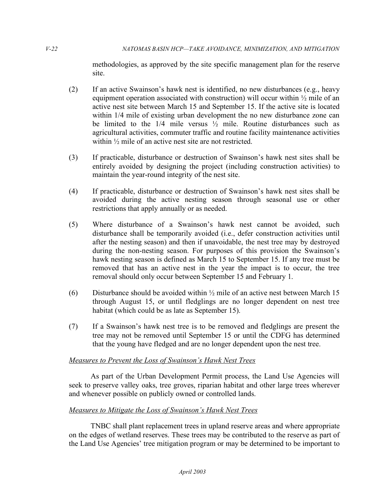methodologies, as approved by the site specific management plan for the reserve site.

- (2) If an active Swainson's hawk nest is identified, no new disturbances (e.g., heavy equipment operation associated with construction) will occur within  $\frac{1}{2}$  mile of an active nest site between March 15 and September 15. If the active site is located within  $1/4$  mile of existing urban development the no new disturbance zone can be limited to the  $1/4$  mile versus  $\frac{1}{2}$  mile. Routine disturbances such as agricultural activities, commuter traffic and routine facility maintenance activities within ½ mile of an active nest site are not restricted.
- (3) If practicable, disturbance or destruction of Swainson's hawk nest sites shall be entirely avoided by designing the project (including construction activities) to maintain the year-round integrity of the nest site.
- (4) If practicable, disturbance or destruction of Swainson's hawk nest sites shall be avoided during the active nesting season through seasonal use or other restrictions that apply annually or as needed.
- (5) Where disturbance of a Swainson's hawk nest cannot be avoided, such disturbance shall be temporarily avoided (i.e., defer construction activities until after the nesting season) and then if unavoidable, the nest tree may by destroyed during the non-nesting season. For purposes of this provision the Swainson's hawk nesting season is defined as March 15 to September 15. If any tree must be removed that has an active nest in the year the impact is to occur, the tree removal should only occur between September 15 and February 1.
- (6) Disturbance should be avoided within  $\frac{1}{2}$  mile of an active nest between March 15 through August 15, or until fledglings are no longer dependent on nest tree habitat (which could be as late as September 15).
- (7) If a Swainson's hawk nest tree is to be removed and fledglings are present the tree may not be removed until September 15 or until the CDFG has determined that the young have fledged and are no longer dependent upon the nest tree.

## *Measures to Prevent the Loss of Swainson's Hawk Nest Trees*

As part of the Urban Development Permit process, the Land Use Agencies will seek to preserve valley oaks, tree groves, riparian habitat and other large trees wherever and whenever possible on publicly owned or controlled lands.

## *Measures to Mitigate the Loss of Swainson's Hawk Nest Trees*

TNBC shall plant replacement trees in upland reserve areas and where appropriate on the edges of wetland reserves. These trees may be contributed to the reserve as part of the Land Use Agencies' tree mitigation program or may be determined to be important to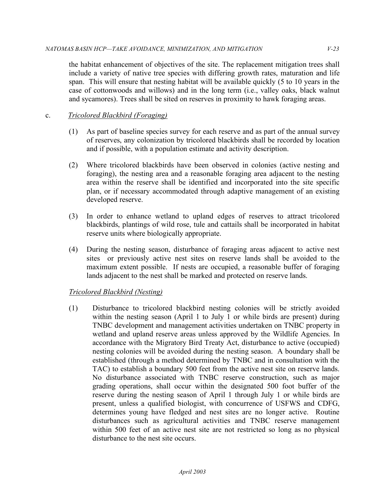the habitat enhancement of objectives of the site. The replacement mitigation trees shall include a variety of native tree species with differing growth rates, maturation and life span. This will ensure that nesting habitat will be available quickly (5 to 10 years in the case of cottonwoods and willows) and in the long term (i.e., valley oaks, black walnut and sycamores). Trees shall be sited on reserves in proximity to hawk foraging areas.

# c. *Tricolored Blackbird (Foraging)*

- (1) As part of baseline species survey for each reserve and as part of the annual survey of reserves, any colonization by tricolored blackbirds shall be recorded by location and if possible, with a population estimate and activity description.
- (2) Where tricolored blackbirds have been observed in colonies (active nesting and foraging), the nesting area and a reasonable foraging area adjacent to the nesting area within the reserve shall be identified and incorporated into the site specific plan, or if necessary accommodated through adaptive management of an existing developed reserve.
- (3) In order to enhance wetland to upland edges of reserves to attract tricolored blackbirds, plantings of wild rose, tule and cattails shall be incorporated in habitat reserve units where biologically appropriate.
- (4) During the nesting season, disturbance of foraging areas adjacent to active nest sites or previously active nest sites on reserve lands shall be avoided to the maximum extent possible. If nests are occupied, a reasonable buffer of foraging lands adjacent to the nest shall be marked and protected on reserve lands.

## *Tricolored Blackbird (Nesting)*

 (1) Disturbance to tricolored blackbird nesting colonies will be strictly avoided within the nesting season (April 1 to July 1 or while birds are present) during TNBC development and management activities undertaken on TNBC property in wetland and upland reserve areas unless approved by the Wildlife Agencies. In accordance with the Migratory Bird Treaty Act, disturbance to active (occupied) nesting colonies will be avoided during the nesting season. A boundary shall be established (through a method determined by TNBC and in consultation with the TAC) to establish a boundary 500 feet from the active nest site on reserve lands. No disturbance associated with TNBC reserve construction, such as major grading operations, shall occur within the designated 500 foot buffer of the reserve during the nesting season of April 1 through July 1 or while birds are present, unless a qualified biologist, with concurrence of USFWS and CDFG, determines young have fledged and nest sites are no longer active. Routine disturbances such as agricultural activities and TNBC reserve management within 500 feet of an active nest site are not restricted so long as no physical disturbance to the nest site occurs.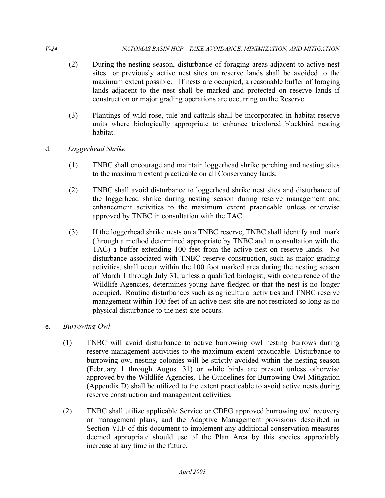- (2) During the nesting season, disturbance of foraging areas adjacent to active nest sites or previously active nest sites on reserve lands shall be avoided to the maximum extent possible. If nests are occupied, a reasonable buffer of foraging lands adjacent to the nest shall be marked and protected on reserve lands if construction or major grading operations are occurring on the Reserve.
- (3) Plantings of wild rose, tule and cattails shall be incorporated in habitat reserve units where biologically appropriate to enhance tricolored blackbird nesting habitat.
- d. *Loggerhead Shrike* 
	- (1) TNBC shall encourage and maintain loggerhead shrike perching and nesting sites to the maximum extent practicable on all Conservancy lands.
	- (2) TNBC shall avoid disturbance to loggerhead shrike nest sites and disturbance of the loggerhead shrike during nesting season during reserve management and enhancement activities to the maximum extent practicable unless otherwise approved by TNBC in consultation with the TAC.
	- (3) If the loggerhead shrike nests on a TNBC reserve, TNBC shall identify and mark (through a method determined appropriate by TNBC and in consultation with the TAC) a buffer extending 100 feet from the active nest on reserve lands. No disturbance associated with TNBC reserve construction, such as major grading activities, shall occur within the 100 foot marked area during the nesting season of March 1 through July 31, unless a qualified biologist, with concurrence of the Wildlife Agencies, determines young have fledged or that the nest is no longer occupied. Routine disturbances such as agricultural activities and TNBC reserve management within 100 feet of an active nest site are not restricted so long as no physical disturbance to the nest site occurs.
- e. *Burrowing Owl* 
	- (1) TNBC will avoid disturbance to active burrowing owl nesting burrows during reserve management activities to the maximum extent practicable. Disturbance to burrowing owl nesting colonies will be strictly avoided within the nesting season (February 1 through August 31) or while birds are present unless otherwise approved by the Wildlife Agencies. The Guidelines for Burrowing Owl Mitigation (Appendix D) shall be utilized to the extent practicable to avoid active nests during reserve construction and management activities.
	- (2) TNBC shall utilize applicable Service or CDFG approved burrowing owl recovery or management plans, and the Adaptive Management provisions described in Section VI.F of this document to implement any additional conservation measures deemed appropriate should use of the Plan Area by this species appreciably increase at any time in the future.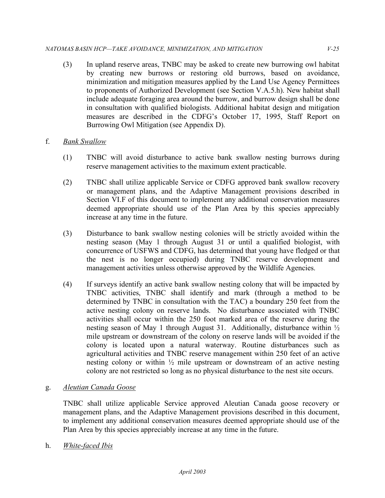#### *NATOMAS BASIN HCP—TAKE AVOIDANCE, MINIMIZATION, AND MITIGATION V-25*

- (3) In upland reserve areas, TNBC may be asked to create new burrowing owl habitat by creating new burrows or restoring old burrows, based on avoidance, minimization and mitigation measures applied by the Land Use Agency Permittees to proponents of Authorized Development (see Section V.A.5.h). New habitat shall include adequate foraging area around the burrow, and burrow design shall be done in consultation with qualified biologists. Additional habitat design and mitigation measures are described in the CDFG's October 17, 1995, Staff Report on Burrowing Owl Mitigation (see Appendix D).
- f. *Bank Swallow* 
	- (1) TNBC will avoid disturbance to active bank swallow nesting burrows during reserve management activities to the maximum extent practicable.
	- (2) TNBC shall utilize applicable Service or CDFG approved bank swallow recovery or management plans, and the Adaptive Management provisions described in Section VI.F of this document to implement any additional conservation measures deemed appropriate should use of the Plan Area by this species appreciably increase at any time in the future.
	- (3) Disturbance to bank swallow nesting colonies will be strictly avoided within the nesting season (May 1 through August 31 or until a qualified biologist, with concurrence of USFWS and CDFG, has determined that young have fledged or that the nest is no longer occupied) during TNBC reserve development and management activities unless otherwise approved by the Wildlife Agencies.
	- (4) If surveys identify an active bank swallow nesting colony that will be impacted by TNBC activities, TNBC shall identify and mark (through a method to be determined by TNBC in consultation with the TAC) a boundary 250 feet from the active nesting colony on reserve lands. No disturbance associated with TNBC activities shall occur within the 250 foot marked area of the reserve during the nesting season of May 1 through August 31. Additionally, disturbance within ½ mile upstream or downstream of the colony on reserve lands will be avoided if the colony is located upon a natural waterway. Routine disturbances such as agricultural activities and TNBC reserve management within 250 feet of an active nesting colony or within ½ mile upstream or downstream of an active nesting colony are not restricted so long as no physical disturbance to the nest site occurs.

## g. *Aleutian Canada Goose*

 TNBC shall utilize applicable Service approved Aleutian Canada goose recovery or management plans, and the Adaptive Management provisions described in this document, to implement any additional conservation measures deemed appropriate should use of the Plan Area by this species appreciably increase at any time in the future.

h. *White-faced Ibis*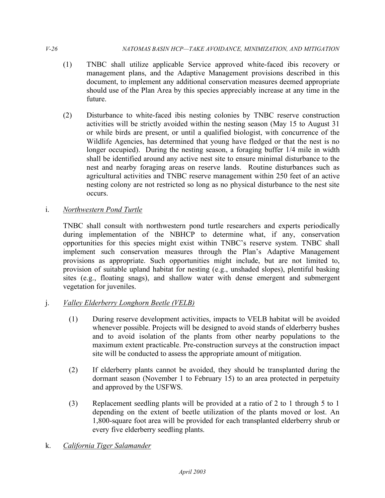- (1) TNBC shall utilize applicable Service approved white-faced ibis recovery or management plans, and the Adaptive Management provisions described in this should use of the Plan Area by this species appreciably increase at any time in the document, to implement any additional conservation measures deemed appropriate future.
- (2) Disturbance to white-faced ibis nesting colonies by TNBC reserve construction activities will be strictly avoided within the nesting season (May 15 to August 31 or while birds are present, or until a qualified biologist, with concurrence of the Wildlife Agencies, has determined that young have fledged or that the nest is no longer occupied). During the nesting season, a foraging buffer 1/4 mile in width shall be identified around any active nest site to ensure minimal disturbance to the nest and nearby foraging areas on reserve lands. Routine disturbances such as agricultural activities and TNBC reserve management within 250 feet of an active nesting colony are not restricted so long as no physical disturbance to the nest site occurs.
- i. *Northwestern Pond Turtle*

 TNBC shall consult with northwestern pond turtle researchers and experts periodically during implementation of the NBHCP to determine what, if any, conservation opportunities for this species might exist within TNBC's reserve system. TNBC shall implement such conservation measures through the Plan's Adaptive Management provisions as appropriate. Such opportunities might include, but are not limited to, provision of suitable upland habitat for nesting (e.g., unshaded slopes), plentiful basking sites (e.g., floating snags), and shallow water with dense emergent and submergent vegetation for juveniles.

- j. *Valley Elderberry Longhorn Beetle (VELB)* 
	- (1) During reserve development activities, impacts to VELB habitat will be avoided whenever possible. Projects will be designed to avoid stands of elderberry bushes and to avoid isolation of the plants from other nearby populations to the maximum extent practicable. Pre-construction surveys at the construction impact site will be conducted to assess the appropriate amount of mitigation.
	- (2) If elderberry plants cannot be avoided, they should be transplanted during the dormant season (November 1 to February 15) to an area protected in perpetuity and approved by the USFWS.
	- (3) Replacement seedling plants will be provided at a ratio of 2 to 1 through 5 to 1 depending on the extent of beetle utilization of the plants moved or lost. An 1,800-square foot area will be provided for each transplanted elderberry shrub or every five elderberry seedling plants.
- k. *California Tiger Salamander*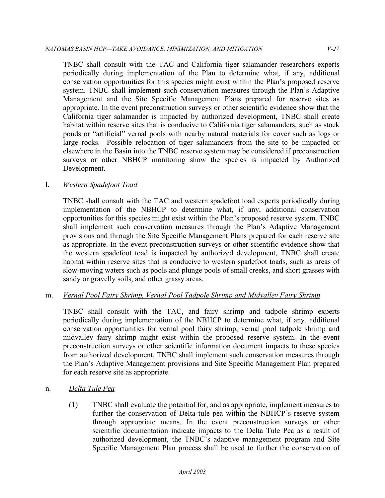TNBC shall consult with the TAC and California tiger salamander researchers experts periodically during implementation of the Plan to determine what, if any, additional conservation opportunities for this species might exist within the Plan's proposed reserve system. TNBC shall implement such conservation measures through the Plan's Adaptive Management and the Site Specific Management Plans prepared for reserve sites as appropriate. In the event preconstruction surveys or other scientific evidence show that the California tiger salamander is impacted by authorized development, TNBC shall create habitat within reserve sites that is conducive to California tiger salamanders, such as stock ponds or "artificial" vernal pools with nearby natural materials for cover such as logs or large rocks. Possible relocation of tiger salamanders from the site to be impacted or elsewhere in the Basin into the TNBC reserve system may be considered if preconstruction surveys or other NBHCP monitoring show the species is impacted by Authorized Development.

## l. *Western Spadefoot Toad*

 TNBC shall consult with the TAC and western spadefoot toad experts periodically during implementation of the NBHCP to determine what, if any, additional conservation opportunities for this species might exist within the Plan's proposed reserve system. TNBC shall implement such conservation measures through the Plan's Adaptive Management provisions and through the Site Specific Management Plans prepared for each reserve site as appropriate. In the event preconstruction surveys or other scientific evidence show that the western spadefoot toad is impacted by authorized development, TNBC shall create habitat within reserve sites that is conducive to western spadefoot toads, such as areas of slow-moving waters such as pools and plunge pools of small creeks, and short grasses with sandy or gravelly soils, and other grassy areas.

### m. *Vernal Pool Fairy Shrimp, Vernal Pool Tadpole Shrimp and Midvalley Fairy Shrimp*

 TNBC shall consult with the TAC, and fairy shrimp and tadpole shrimp experts periodically during implementation of the NBHCP to determine what, if any, additional conservation opportunities for vernal pool fairy shrimp, vernal pool tadpole shrimp and midvalley fairy shrimp might exist within the proposed reserve system. In the event preconstruction surveys or other scientific information document impacts to these species from authorized development, TNBC shall implement such conservation measures through the Plan's Adaptive Management provisions and Site Specific Management Plan prepared for each reserve site as appropriate.

#### n. *Delta Tule Pea*

 (1) TNBC shall evaluate the potential for, and as appropriate, implement measures to further the conservation of Delta tule pea within the NBHCP's reserve system through appropriate means. In the event preconstruction surveys or other scientific documentation indicate impacts to the Delta Tule Pea as a result of authorized development, the TNBC's adaptive management program and Site Specific Management Plan process shall be used to further the conservation of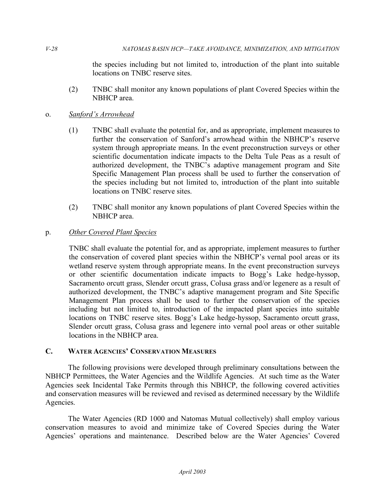the species including but not limited to, introduction of the plant into suitable locations on TNBC reserve sites.

 (2) TNBC shall monitor any known populations of plant Covered Species within the NBHCP area.

## o. *Sanford's Arrowhead*

- (1) TNBC shall evaluate the potential for, and as appropriate, implement measures to further the conservation of Sanford's arrowhead within the NBHCP's reserve system through appropriate means. In the event preconstruction surveys or other scientific documentation indicate impacts to the Delta Tule Peas as a result of authorized development, the TNBC's adaptive management program and Site Specific Management Plan process shall be used to further the conservation of the species including but not limited to, introduction of the plant into suitable locations on TNBC reserve sites.
- (2) TNBC shall monitor any known populations of plant Covered Species within the NBHCP area.

## p. *Other Covered Plant Species*

 TNBC shall evaluate the potential for, and as appropriate, implement measures to further the conservation of covered plant species within the NBHCP's vernal pool areas or its wetland reserve system through appropriate means. In the event preconstruction surveys or other scientific documentation indicate impacts to Bogg's Lake hedge-hyssop, Sacramento orcutt grass, Slender orcutt grass, Colusa grass and/or legenere as a result of authorized development, the TNBC's adaptive management program and Site Specific Management Plan process shall be used to further the conservation of the species including but not limited to, introduction of the impacted plant species into suitable locations on TNBC reserve sites. Bogg's Lake hedge-hyssop, Sacramento orcutt grass, Slender orcutt grass, Colusa grass and legenere into vernal pool areas or other suitable locations in the NBHCP area.

### **C. WATER AGENCIES' CONSERVATION MEASURES**

 The following provisions were developed through preliminary consultations between the NBHCP Permittees, the Water Agencies and the Wildlife Agencies. At such time as the Water Agencies seek Incidental Take Permits through this NBHCP, the following covered activities and conservation measures will be reviewed and revised as determined necessary by the Wildlife Agencies.

 The Water Agencies (RD 1000 and Natomas Mutual collectively) shall employ various conservation measures to avoid and minimize take of Covered Species during the Water Agencies' operations and maintenance. Described below are the Water Agencies' Covered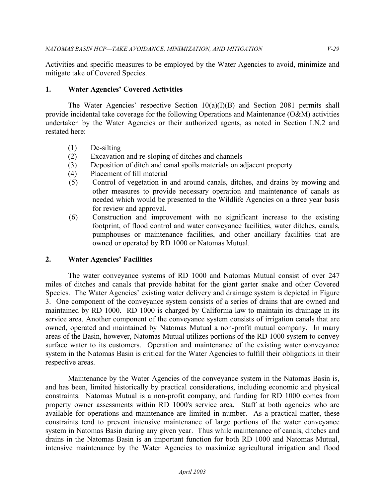Activities and specific measures to be employed by the Water Agencies to avoid, minimize and mitigate take of Covered Species.

### **1. Water Agencies' Covered Activities**

 The Water Agencies' respective Section 10(a)(I)(B) and Section 2081 permits shall provide incidental take coverage for the following Operations and Maintenance (O&M) activities undertaken by the Water Agencies or their authorized agents, as noted in Section I.N.2 and restated here:

- (1) De-silting
- (2) Excavation and re-sloping of ditches and channels
- (3) Deposition of ditch and canal spoils materials on adjacent property
- (4) Placement of fill material
- (5) Control of vegetation in and around canals, ditches, and drains by mowing and other measures to provide necessary operation and maintenance of canals as needed which would be presented to the Wildlife Agencies on a three year basis for review and approval.
- (6) Construction and improvement with no significant increase to the existing footprint, of flood control and water conveyance facilities, water ditches, canals, pumphouses or maintenance facilities, and other ancillary facilities that are owned or operated by RD 1000 or Natomas Mutual.

#### **2. Water Agencies' Facilities**

 The water conveyance systems of RD 1000 and Natomas Mutual consist of over 247 miles of ditches and canals that provide habitat for the giant garter snake and other Covered Species. The Water Agencies' existing water delivery and drainage system is depicted in Figure 3. One component of the conveyance system consists of a series of drains that are owned and maintained by RD 1000. RD 1000 is charged by California law to maintain its drainage in its service area. Another component of the conveyance system consists of irrigation canals that are owned, operated and maintained by Natomas Mutual a non-profit mutual company. In many areas of the Basin, however, Natomas Mutual utilizes portions of the RD 1000 system to convey surface water to its customers. Operation and maintenance of the existing water conveyance system in the Natomas Basin is critical for the Water Agencies to fulfill their obligations in their respective areas.

 Maintenance by the Water Agencies of the conveyance system in the Natomas Basin is, and has been, limited historically by practical considerations, including economic and physical constraints. Natomas Mutual is a non-profit company, and funding for RD 1000 comes from property owner assessments within RD 1000's service area. Staff at both agencies who are available for operations and maintenance are limited in number. As a practical matter, these constraints tend to prevent intensive maintenance of large portions of the water conveyance system in Natomas Basin during any given year. Thus while maintenance of canals, ditches and drains in the Natomas Basin is an important function for both RD 1000 and Natomas Mutual, intensive maintenance by the Water Agencies to maximize agricultural irrigation and flood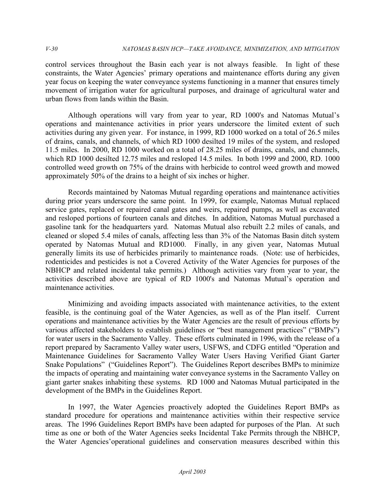control services throughout the Basin each year is not always feasible. In light of these constraints, the Water Agencies' primary operations and maintenance efforts during any given year focus on keeping the water conveyance systems functioning in a manner that ensures timely movement of irrigation water for agricultural purposes, and drainage of agricultural water and urban flows from lands within the Basin.

 Although operations will vary from year to year, RD 1000's and Natomas Mutual's operations and maintenance activities in prior years underscore the limited extent of such activities during any given year. For instance, in 1999, RD 1000 worked on a total of 26.5 miles of drains, canals, and channels, of which RD 1000 desilted 19 miles of the system, and resloped 11.5 miles. In 2000, RD 1000 worked on a total of 28.25 miles of drains, canals, and channels, which RD 1000 desilted 12.75 miles and resloped 14.5 miles. In both 1999 and 2000, RD. 1000 controlled weed growth on 75% of the drains with herbicide to control weed growth and mowed approximately 50% of the drains to a height of six inches or higher.

 Records maintained by Natomas Mutual regarding operations and maintenance activities during prior years underscore the same point. In 1999, for example, Natomas Mutual replaced service gates, replaced or repaired canal gates and weirs, repaired pumps, as well as excavated and resloped portions of fourteen canals and ditches. In addition, Natomas Mutual purchased a gasoline tank for the headquarters yard. Natomas Mutual also rebuilt 2.2 miles of canals, and cleaned or sloped 5.4 miles of canals, affecting less than 3% of the Natomas Basin ditch system operated by Natomas Mutual and RD1000. Finally, in any given year, Natomas Mutual generally limits its use of herbicides primarily to maintenance roads. (Note: use of herbicides, rodenticides and pesticides is not a Covered Activity of the Water Agencies for purposes of the NBHCP and related incidental take permits.) Although activities vary from year to year, the activities described above are typical of RD 1000's and Natomas Mutual's operation and maintenance activities.

 Minimizing and avoiding impacts associated with maintenance activities, to the extent feasible, is the continuing goal of the Water Agencies, as well as of the Plan itself. Current operations and maintenance activities by the Water Agencies are the result of previous efforts by various affected stakeholders to establish guidelines or "best management practices" ("BMPs") for water users in the Sacramento Valley. These efforts culminated in 1996, with the release of a report prepared by Sacramento Valley water users, USFWS, and CDFG entitled "Operation and Maintenance Guidelines for Sacramento Valley Water Users Having Verified Giant Garter Snake Populations" ("Guidelines Report"). The Guidelines Report describes BMPs to minimize the impacts of operating and maintaining water conveyance systems in the Sacramento Valley on giant garter snakes inhabiting these systems. RD 1000 and Natomas Mutual participated in the development of the BMPs in the Guidelines Report.

 In 1997, the Water Agencies proactively adopted the Guidelines Report BMPs as standard procedure for operations and maintenance activities within their respective service areas. The 1996 Guidelines Report BMPs have been adapted for purposes of the Plan. At such time as one or both of the Water Agencies seeks Incidental Take Permits through the NBHCP, the Water Agencies'operational guidelines and conservation measures described within this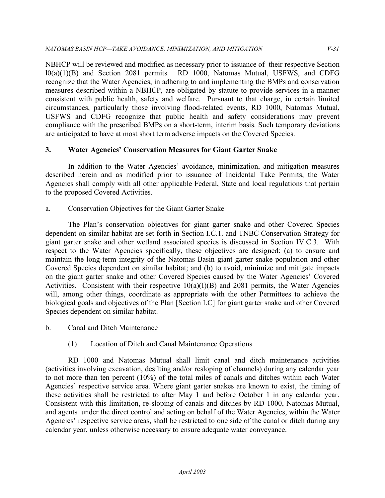NBHCP will be reviewed and modified as necessary prior to issuance of their respective Section l0(a)(1)(B) and Section 2081 permits. RD 1000, Natomas Mutual, USFWS, and CDFG recognize that the Water Agencies, in adhering to and implementing the BMPs and conservation measures described within a NBHCP, are obligated by statute to provide services in a manner consistent with public health, safety and welfare. Pursuant to that charge, in certain limited circumstances, particularly those involving flood-related events, RD 1000, Natomas Mutual, USFWS and CDFG recognize that public health and safety considerations may prevent compliance with the prescribed BMPs on a short-term, interim basis. Such temporary deviations are anticipated to have at most short term adverse impacts on the Covered Species.

## **3. Water Agencies' Conservation Measures for Giant Garter Snake**

 In addition to the Water Agencies' avoidance, minimization, and mitigation measures described herein and as modified prior to issuance of Incidental Take Permits, the Water Agencies shall comply with all other applicable Federal, State and local regulations that pertain to the proposed Covered Activities.

#### a. Conservation Objectives for the Giant Garter Snake

 The Plan's conservation objectives for giant garter snake and other Covered Species dependent on similar habitat are set forth in Section I.C.1. and TNBC Conservation Strategy for giant garter snake and other wetland associated species is discussed in Section IV.C.3. With respect to the Water Agencies specifically, these objectives are designed: (a) to ensure and maintain the long-term integrity of the Natomas Basin giant garter snake population and other Covered Species dependent on similar habitat; and (b) to avoid, minimize and mitigate impacts on the giant garter snake and other Covered Species caused by the Water Agencies' Covered Activities. Consistent with their respective  $10(a)(I)(B)$  and 2081 permits, the Water Agencies will, among other things, coordinate as appropriate with the other Permittees to achieve the biological goals and objectives of the Plan [Section I.C] for giant garter snake and other Covered Species dependent on similar habitat.

#### b. Canal and Ditch Maintenance

## (1) Location of Ditch and Canal Maintenance Operations

 RD 1000 and Natomas Mutual shall limit canal and ditch maintenance activities (activities involving excavation, desilting and/or resloping of channels) during any calendar year to not more than ten percent (10%) of the total miles of canals and ditches within each Water Agencies' respective service area. Where giant garter snakes are known to exist, the timing of these activities shall be restricted to after May 1 and before October 1 in any calendar year. Consistent with this limitation, re-sloping of canals and ditches by RD 1000, Natomas Mutual, and agents under the direct control and acting on behalf of the Water Agencies, within the Water Agencies' respective service areas, shall be restricted to one side of the canal or ditch during any calendar year, unless otherwise necessary to ensure adequate water conveyance.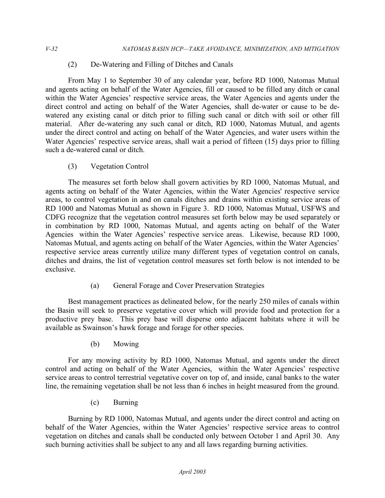(2) De-Watering and Filling of Ditches and Canals

 From May 1 to September 30 of any calendar year, before RD 1000, Natomas Mutual and agents acting on behalf of the Water Agencies, fill or caused to be filled any ditch or canal within the Water Agencies' respective service areas, the Water Agencies and agents under the direct control and acting on behalf of the Water Agencies, shall de-water or cause to be de- watered any existing canal or ditch prior to filling such canal or ditch with soil or other fill material. After de-watering any such canal or ditch, RD 1000, Natomas Mutual, and agents under the direct control and acting on behalf of the Water Agencies, and water users within the Water Agencies' respective service areas, shall wait a period of fifteen (15) days prior to filling such a de-watered canal or ditch.

(3) Vegetation Control

 The measures set forth below shall govern activities by RD 1000, Natomas Mutual, and agents acting on behalf of the Water Agencies, within the Water Agencies' respective service areas, to control vegetation in and on canals ditches and drains within existing service areas of RD 1000 and Natomas Mutual as shown in Figure 3. RD 1000, Natomas Mutual, USFWS and CDFG recognize that the vegetation control measures set forth below may be used separately or in combination by RD 1000, Natomas Mutual, and agents acting on behalf of the Water Agencies within the Water Agencies' respective service areas. Likewise, because RD 1000, Natomas Mutual, and agents acting on behalf of the Water Agencies, within the Water Agencies' respective service areas currently utilize many different types of vegetation control on canals, ditches and drains, the list of vegetation control measures set forth below is not intended to be exclusive.

(a) General Forage and Cover Preservation Strategies

 Best management practices as delineated below, for the nearly 250 miles of canals within the Basin will seek to preserve vegetative cover which will provide food and protection for a productive prey base. This prey base will disperse onto adjacent habitats where it will be available as Swainson's hawk forage and forage for other species.

(b) Mowing

 For any mowing activity by RD 1000, Natomas Mutual, and agents under the direct control and acting on behalf of the Water Agencies, within the Water Agencies' respective service areas to control terrestrial vegetative cover on top of, and inside, canal banks to the water line, the remaining vegetation shall be not less than 6 inches in height measured from the ground.

(c) Burning

 Burning by RD 1000, Natomas Mutual, and agents under the direct control and acting on behalf of the Water Agencies, within the Water Agencies' respective service areas to control vegetation on ditches and canals shall be conducted only between October 1 and April 30. Any such burning activities shall be subject to any and all laws regarding burning activities.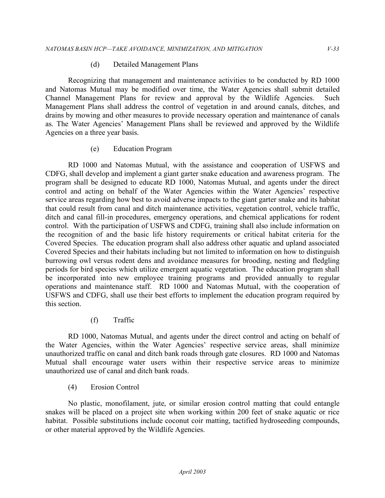#### (d) Detailed Management Plans

 Recognizing that management and maintenance activities to be conducted by RD 1000 and Natomas Mutual may be modified over time, the Water Agencies shall submit detailed Channel Management Plans for review and approval by the Wildlife Agencies. Such Management Plans shall address the control of vegetation in and around canals, ditches, and drains by mowing and other measures to provide necessary operation and maintenance of canals as. The Water Agencies' Management Plans shall be reviewed and approved by the Wildlife Agencies on a three year basis.

#### (e) Education Program

 RD 1000 and Natomas Mutual, with the assistance and cooperation of USFWS and CDFG, shall develop and implement a giant garter snake education and awareness program. The program shall be designed to educate RD 1000, Natomas Mutual, and agents under the direct control and acting on behalf of the Water Agencies within the Water Agencies' respective service areas regarding how best to avoid adverse impacts to the giant garter snake and its habitat that could result from canal and ditch maintenance activities, vegetation control, vehicle traffic, ditch and canal fill-in procedures, emergency operations, and chemical applications for rodent control. With the participation of USFWS and CDFG, training shall also include information on the recognition of and the basic life history requirements or critical habitat criteria for the Covered Species. The education program shall also address other aquatic and upland associated Covered Species and their habitats including but not limited to information on how to distinguish burrowing owl versus rodent dens and avoidance measures for brooding, nesting and fledgling periods for bird species which utilize emergent aquatic vegetation. The education program shall be incorporated into new employee training programs and provided annually to regular operations and maintenance staff. RD 1000 and Natomas Mutual, with the cooperation of USFWS and CDFG, shall use their best efforts to implement the education program required by this section.

### (f) Traffic

 RD 1000, Natomas Mutual, and agents under the direct control and acting on behalf of the Water Agencies, within the Water Agencies' respective service areas, shall minimize unauthorized traffic on canal and ditch bank roads through gate closures. RD 1000 and Natomas Mutual shall encourage water users within their respective service areas to minimize unauthorized use of canal and ditch bank roads.

(4) Erosion Control

 No plastic, monofilament, jute, or similar erosion control matting that could entangle snakes will be placed on a project site when working within 200 feet of snake aquatic or rice habitat. Possible substitutions include coconut coir matting, tactified hydroseeding compounds, or other material approved by the Wildlife Agencies.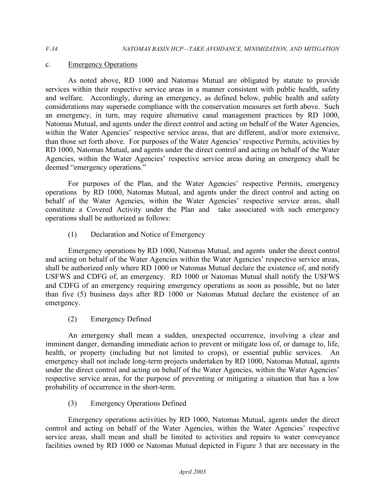### c. Emergency Operations

 As noted above, RD 1000 and Natomas Mutual are obligated by statute to provide services within their respective service areas in a manner consistent with public health, safety and welfare. Accordingly, during an emergency, as defined below, public health and safety considerations may supersede compliance with the conservation measures set forth above. Such an emergency, in turn, may require alternative canal management practices by RD 1000, Natomas Mutual, and agents under the direct control and acting on behalf of the Water Agencies, within the Water Agencies' respective service areas, that are different, and/or more extensive, than those set forth above. For purposes of the Water Agencies' respective Permits, activities by RD 1000, Natomas Mutual, and agents under the direct control and acting on behalf of the Water Agencies, within the Water Agencies' respective service areas during an emergency shall be deemed "emergency operations."

 For purposes of the Plan, and the Water Agencies' respective Permits, emergency operations by RD 1000, Natomas Mutual, and agents under the direct control and acting on behalf of the Water Agencies, within the Water Agencies' respective service areas, shall constitute a Covered Activity under the Plan and take associated with such emergency operations shall be authorized as follows:

(1) Declaration and Notice of Emergency

 Emergency operations by RD 1000, Natomas Mutual, and agents under the direct control and acting on behalf of the Water Agencies within the Water Agencies' respective service areas, shall be authorized only where RD 1000 or Natomas Mutual declare the existence of, and notify USFWS and CDFG of, an emergency. RD 1000 or Natomas Mutual shall notify the USFWS and CDFG of an emergency requiring emergency operations as soon as possible, but no later than five (5) business days after RD 1000 or Natomas Mutual declare the existence of an emergency.

(2) Emergency Defined

 An emergency shall mean a sudden, unexpected occurrence, involving a clear and imminent danger, demanding immediate action to prevent or mitigate loss of, or damage to, life, health, or property (including but not limited to crops), or essential public services. An emergency shall not include long-term projects undertaken by RD 1000, Natomas Mutual, agents under the direct control and acting on behalf of the Water Agencies, within the Water Agencies' respective service areas, for the purpose of preventing or mitigating a situation that has a low probability of occurrence in the short-term.

(3) Emergency Operations Defined

 Emergency operations activities by RD 1000, Natomas Mutual, agents under the direct control and acting on behalf of the Water Agencies, within the Water Agencies' respective service areas, shall mean and shall be limited to activities and repairs to water conveyance facilities owned by RD 1000 or Natomas Mutual depicted in Figure 3 that are necessary in the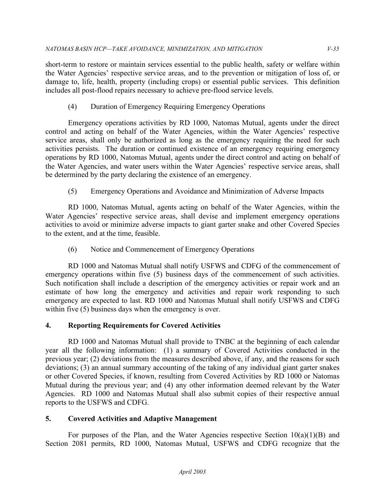short-term to restore or maintain services essential to the public health, safety or welfare within the Water Agencies' respective service areas, and to the prevention or mitigation of loss of, or damage to, life, health, property (including crops) or essential public services. This definition includes all post-flood repairs necessary to achieve pre-flood service levels.

## (4) Duration of Emergency Requiring Emergency Operations

 Emergency operations activities by RD 1000, Natomas Mutual, agents under the direct control and acting on behalf of the Water Agencies, within the Water Agencies' respective service areas, shall only be authorized as long as the emergency requiring the need for such activities persists. The duration or continued existence of an emergency requiring emergency operations by RD 1000, Natomas Mutual, agents under the direct control and acting on behalf of the Water Agencies, and water users within the Water Agencies' respective service areas, shall be determined by the party declaring the existence of an emergency.

(5) Emergency Operations and Avoidance and Minimization of Adverse Impacts

 RD 1000, Natomas Mutual, agents acting on behalf of the Water Agencies, within the Water Agencies' respective service areas, shall devise and implement emergency operations activities to avoid or minimize adverse impacts to giant garter snake and other Covered Species to the extent, and at the time, feasible.

(6) Notice and Commencement of Emergency Operations

 RD 1000 and Natomas Mutual shall notify USFWS and CDFG of the commencement of emergency operations within five (5) business days of the commencement of such activities. Such notification shall include a description of the emergency activities or repair work and an estimate of how long the emergency and activities and repair work responding to such emergency are expected to last. RD 1000 and Natomas Mutual shall notify USFWS and CDFG within five  $(5)$  business days when the emergency is over.

# **4. Reporting Requirements for Covered Activities**

 RD 1000 and Natomas Mutual shall provide to TNBC at the beginning of each calendar year all the following information: (1) a summary of Covered Activities conducted in the previous year; (2) deviations from the measures described above, if any, and the reasons for such deviations; (3) an annual summary accounting of the taking of any individual giant garter snakes or other Covered Species, if known, resulting from Covered Activities by RD 1000 or Natomas Mutual during the previous year; and (4) any other information deemed relevant by the Water Agencies. RD 1000 and Natomas Mutual shall also submit copies of their respective annual reports to the USFWS and CDFG.

## **5. Covered Activities and Adaptive Management**

For purposes of the Plan, and the Water Agencies respective Section  $10(a)(1)(B)$  and Section 2081 permits, RD 1000, Natomas Mutual, USFWS and CDFG recognize that the